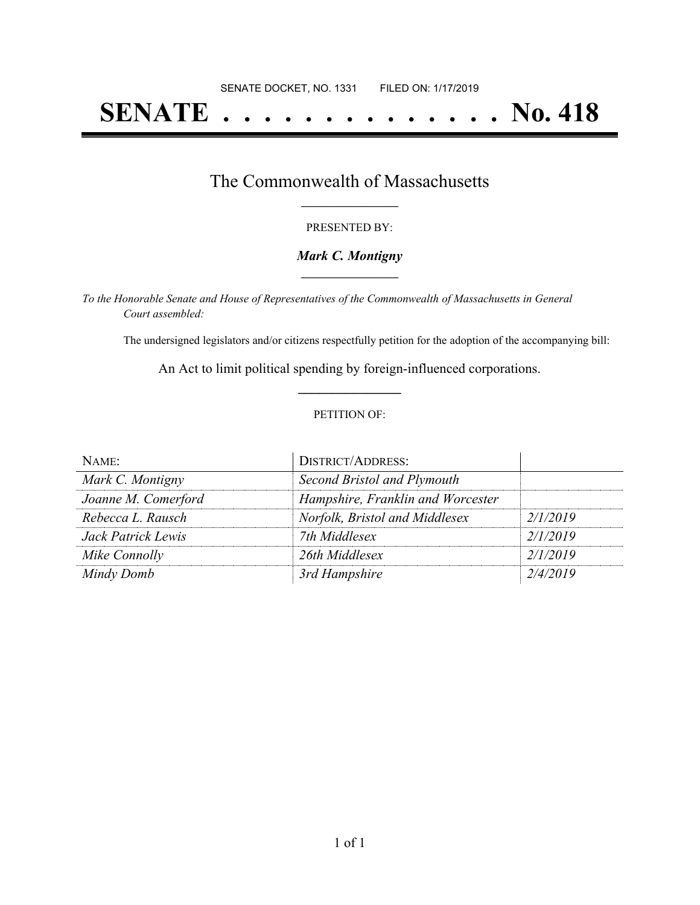# **SENATE . . . . . . . . . . . . . . No. 418**

## The Commonwealth of Massachusetts **\_\_\_\_\_\_\_\_\_\_\_\_\_\_\_\_\_**

#### PRESENTED BY:

#### *Mark C. Montigny* **\_\_\_\_\_\_\_\_\_\_\_\_\_\_\_\_\_**

*To the Honorable Senate and House of Representatives of the Commonwealth of Massachusetts in General Court assembled:*

The undersigned legislators and/or citizens respectfully petition for the adoption of the accompanying bill:

An Act to limit political spending by foreign-influenced corporations. **\_\_\_\_\_\_\_\_\_\_\_\_\_\_\_**

#### PETITION OF:

| NAME:               | <b>DISTRICT/ADDRESS:</b>          |          |
|---------------------|-----------------------------------|----------|
| Mark C. Montigny    | Second Bristol and Plymouth       |          |
| Joanne M. Comerford | Hampshire, Franklin and Worcester |          |
| Rebecca L. Rausch   | Norfolk, Bristol and Middlesex    | 2/1/2019 |
| Jack Patrick Lewis  | 7th Middlesex                     | 2/1/2019 |
| Mike Connolly       | 26th Middlesex                    | 2/1/2019 |
| Mindy Domb          | 3rd Hampshire                     | 2/4/2019 |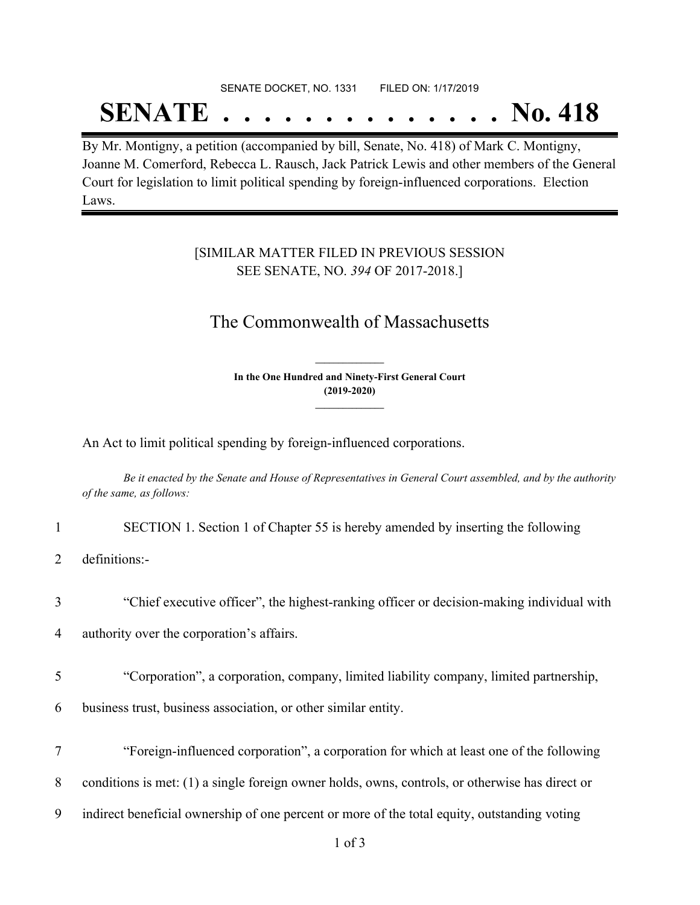# SENATE DOCKET, NO. 1331 FILED ON: 1/17/2019 **SENATE . . . . . . . . . . . . . . No. 418**

By Mr. Montigny, a petition (accompanied by bill, Senate, No. 418) of Mark C. Montigny, Joanne M. Comerford, Rebecca L. Rausch, Jack Patrick Lewis and other members of the General Court for legislation to limit political spending by foreign-influenced corporations. Election Laws.

### [SIMILAR MATTER FILED IN PREVIOUS SESSION SEE SENATE, NO. *394* OF 2017-2018.]

## The Commonwealth of Massachusetts

**In the One Hundred and Ninety-First General Court (2019-2020) \_\_\_\_\_\_\_\_\_\_\_\_\_\_\_**

**\_\_\_\_\_\_\_\_\_\_\_\_\_\_\_**

An Act to limit political spending by foreign-influenced corporations.

Be it enacted by the Senate and House of Representatives in General Court assembled, and by the authority *of the same, as follows:*

- 1 SECTION 1. Section 1 of Chapter 55 is hereby amended by inserting the following
- 2 definitions:-
- 3 "Chief executive officer", the highest-ranking officer or decision-making individual with

4 authority over the corporation's affairs.

5 "Corporation", a corporation, company, limited liability company, limited partnership,

6 business trust, business association, or other similar entity.

- 7 "Foreign-influenced corporation", a corporation for which at least one of the following
- 8 conditions is met: (1) a single foreign owner holds, owns, controls, or otherwise has direct or
- 9 indirect beneficial ownership of one percent or more of the total equity, outstanding voting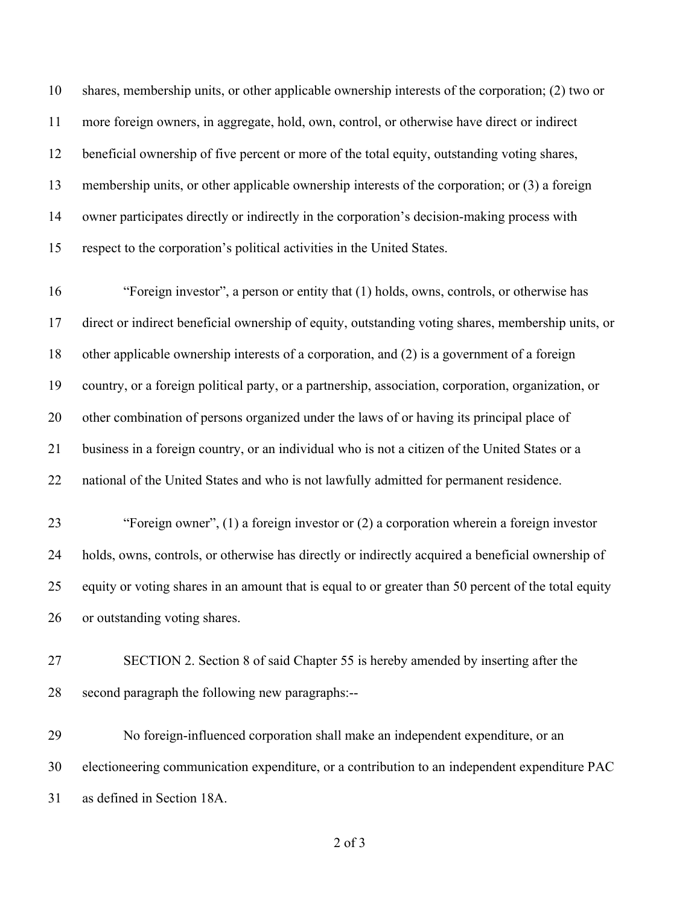shares, membership units, or other applicable ownership interests of the corporation; (2) two or more foreign owners, in aggregate, hold, own, control, or otherwise have direct or indirect beneficial ownership of five percent or more of the total equity, outstanding voting shares, membership units, or other applicable ownership interests of the corporation; or (3) a foreign owner participates directly or indirectly in the corporation's decision-making process with respect to the corporation's political activities in the United States.

 "Foreign investor", a person or entity that (1) holds, owns, controls, or otherwise has direct or indirect beneficial ownership of equity, outstanding voting shares, membership units, or other applicable ownership interests of a corporation, and (2) is a government of a foreign country, or a foreign political party, or a partnership, association, corporation, organization, or other combination of persons organized under the laws of or having its principal place of business in a foreign country, or an individual who is not a citizen of the United States or a national of the United States and who is not lawfully admitted for permanent residence.

 "Foreign owner", (1) a foreign investor or (2) a corporation wherein a foreign investor holds, owns, controls, or otherwise has directly or indirectly acquired a beneficial ownership of equity or voting shares in an amount that is equal to or greater than 50 percent of the total equity or outstanding voting shares.

 SECTION 2. Section 8 of said Chapter 55 is hereby amended by inserting after the second paragraph the following new paragraphs:--

 No foreign-influenced corporation shall make an independent expenditure, or an electioneering communication expenditure, or a contribution to an independent expenditure PAC as defined in Section 18A.

of 3